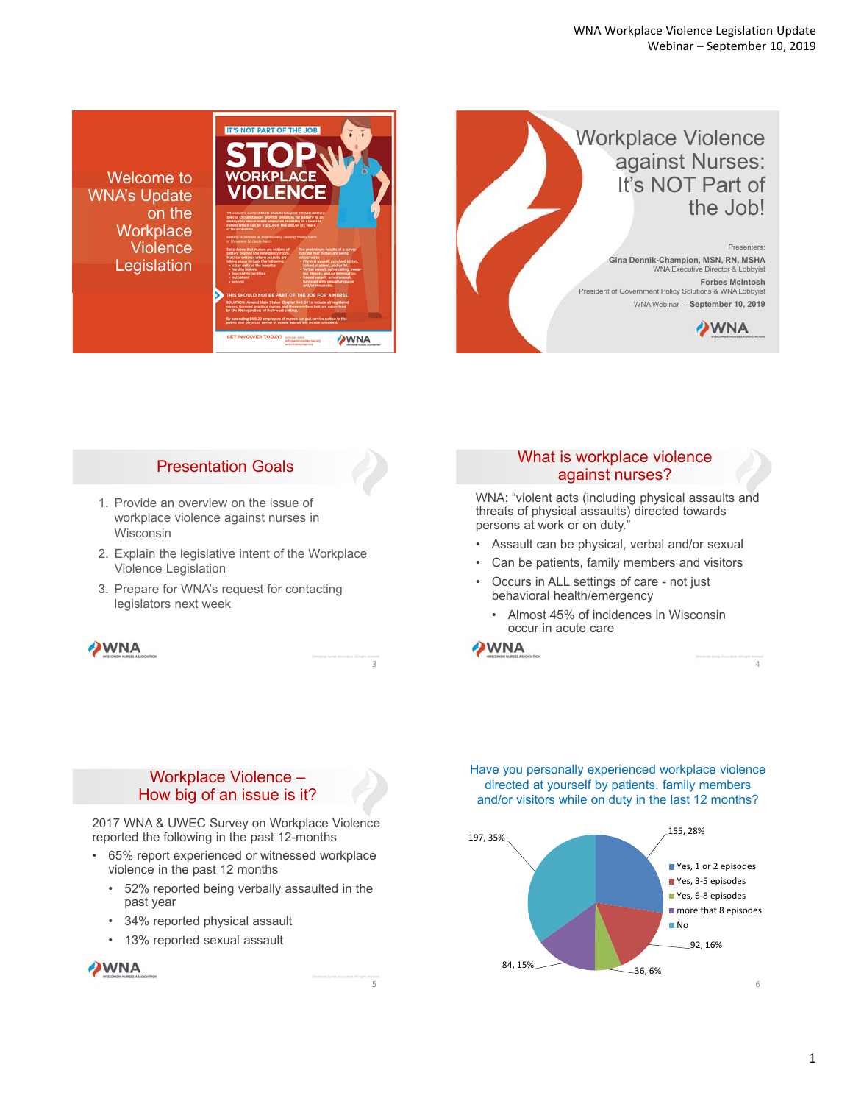**IT'S NOT PART OF THE JOB** Workplace Violence against Nurses: **ODKDI ACE** Welcome to It's NOT Part of **VIOLENCE** WNA's Update the Job! on the **Workplace Violence** Presenters: **Gina Dennik-Champion, MSN, RN, MSHA** WNA Executive Director & Lobbyist Legislation **Forbes McIntosh** President of Government Policy Solutions & WNA Lobbyist WNA Webinar -- **September 10, 2019 DWNA** WNA



- 1. Provide an overview on the issue of workplace violence against nurses in Wisconsin
- 2. Explain the legislative intent of the Workplace Violence Legislation
- 3. Prepare for WNA's request for contacting legislators next week

**WNA** 

## What is workplace violence against nurses?

WNA: "violent acts (including physical assaults and threats of physical assaults) directed towards persons at work or on duty."

- Assault can be physical, verbal and/or sexual
- Can be patients, family members and visitors
- Occurs in ALL settings of care not just behavioral health/emergency
	- Almost 45% of incidences in Wisconsin occur in acute care



3

5

## Workplace Violence – How big of an issue is it?

2017 WNA & UWEC Survey on Workplace Violence reported the following in the past 12-months

- 65% report experienced or witnessed workplace violence in the past 12 months
	- 52% reported being verbally assaulted in the past year
	- 34% reported physical assault
	- 13% reported sexual assault

WNA

Have you personally experienced workplace violence directed at yourself by patients, family members and/or visitors while on duty in the last 12 months?



1

4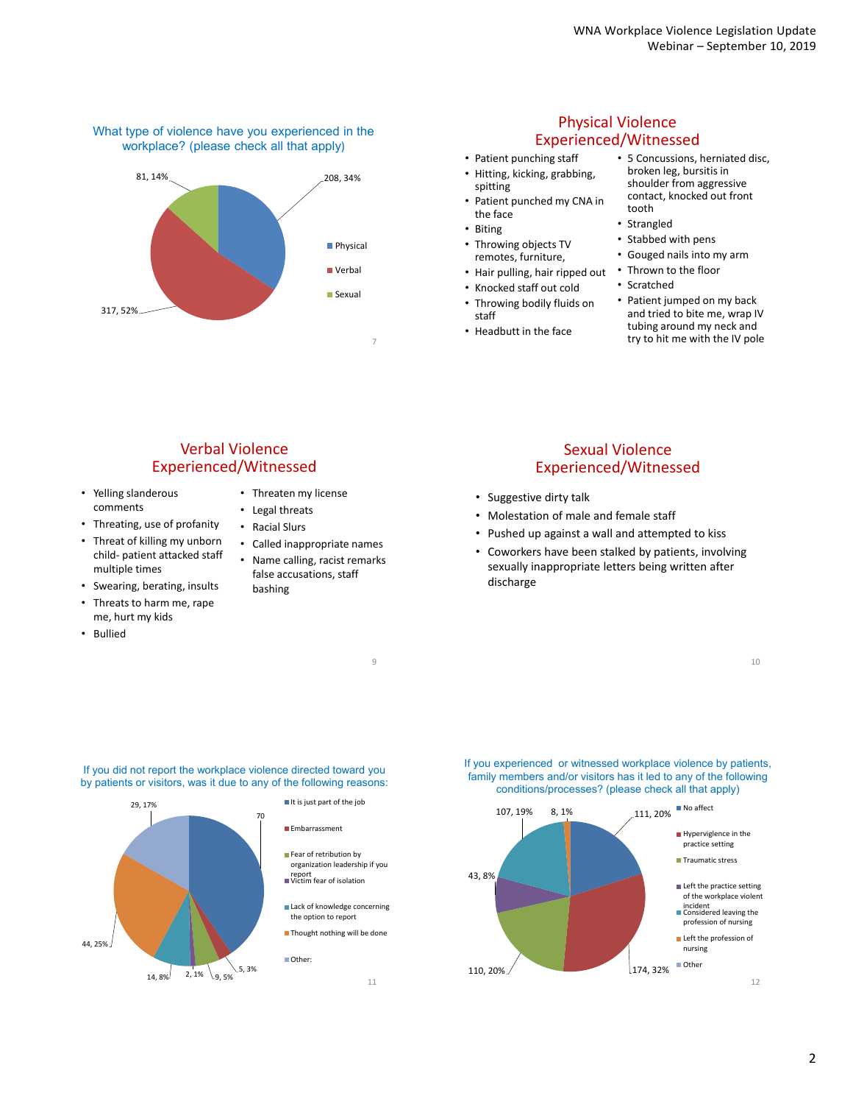#### What type of violence have you experienced in the workplace? (please check all that apply)



## Physical Violence Experienced/Witnessed

- Patient punching staff • Hitting, kicking, grabbing,
- spitting • Patient punched my CNA in the face
- Biting
- Throwing objects TV remotes, furniture,
- Hair pulling, hair ripped out
- Knocked staff out cold
- Throwing bodily fluids on staff
- Headbutt in the face
- 5 Concussions, herniated disc, broken leg, bursitis in shoulder from aggressive contact, knocked out front tooth
- Strangled
- Stabbed with pens
- Gouged nails into my arm
- Thrown to the floor
- Scratched
- Patient jumped on my back and tried to bite me, wrap IV tubing around my neck and try to hit me with the IV pole

# Verbal Violence Experienced/Witnessed

• Yelling slanderous comments

multiple times • Swearing, berating, insults • Threats to harm me, rape me, hurt my kids

• Bullied

• Threating, use of profanity • Threat of killing my unborn child‐ patient attacked staff

- Threaten my license • Legal threats
- Racial Slurs
- Called inappropriate names
	- Name calling, racist remarks false accusations, staff bashing

9

11

#### Sexual Violence Experienced/Witnessed

- Suggestive dirty talk
- Molestation of male and female staff
- Pushed up against a wall and attempted to kiss
- Coworkers have been stalked by patients, involving sexually inappropriate letters being written after discharge

10



If you did not report the workplace violence directed toward you by patients or visitors, was it due to any of the following reasons: If you experienced or witnessed workplace violence by patients, family members and/or visitors has it led to any of the following conditions/processes? (please check all that apply)

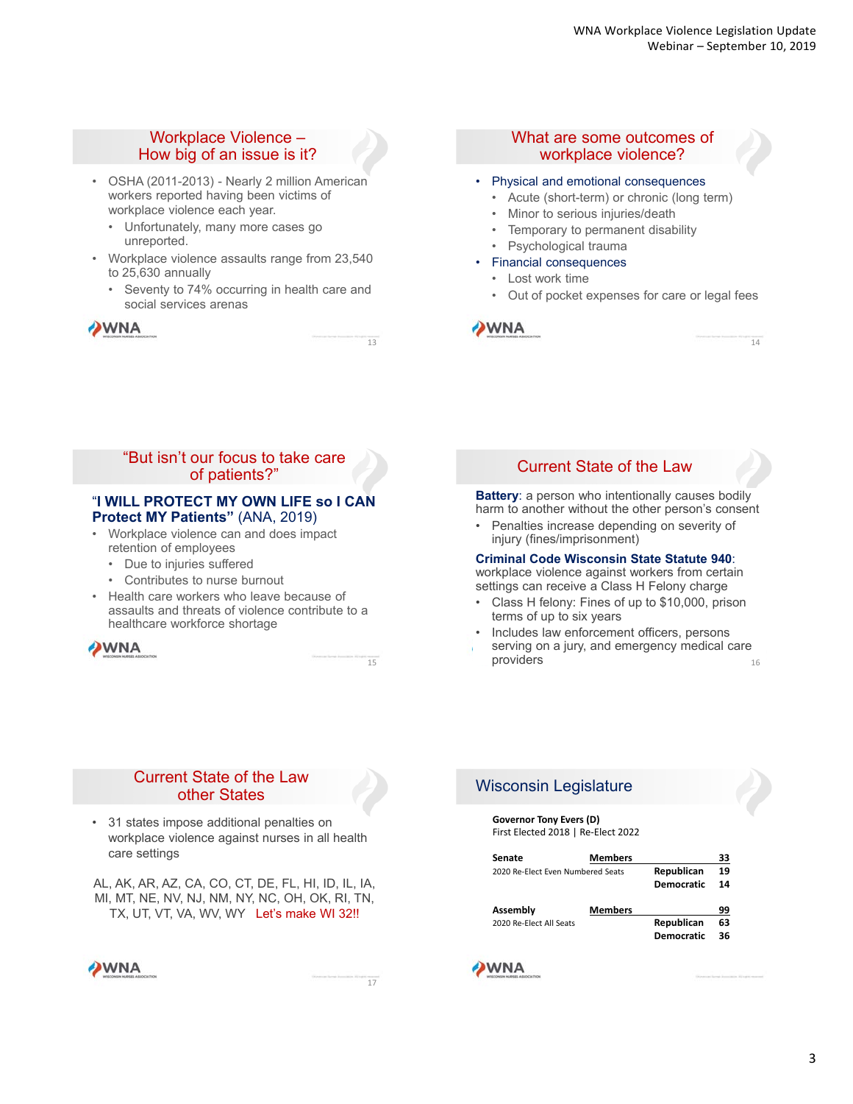14

## Workplace Violence – How big of an issue is it?

- OSHA (2011-2013) Nearly 2 million American workers reported having been victims of workplace violence each year.
	- Unfortunately, many more cases go unreported.
- Workplace violence assaults range from 23,540 to 25,630 annually
	- Seventy to 74% occurring in health care and social services arenas

| <b>OWNA</b>                |
|----------------------------|
| WISCONSIN HURSES ASSOCIATE |

#### What are some outcomes of workplace violence?

#### • Physical and emotional consequences

- Acute (short-term) or chronic (long term)
- Minor to serious injuries/death
- Temporary to permanent disability
- Psychological trauma
- Financial consequences
	- Lost work time
	- Out of pocket expenses for care or legal fees



## "But isn't our focus to take care of patients?"

#### "**I WILL PROTECT MY OWN LIFE so I CAN Protect MY Patients"** (ANA, 2019)

- Workplace violence can and does impact retention of employees
	- Due to injuries suffered
	- Contributes to nurse burnout
- Health care workers who leave because of assaults and threats of violence contribute to a healthcare workforce shortage

WNA

15

13

## Current State of the Law

**Battery**: a person who intentionally causes bodily harm to another without the other person's consent

• Penalties increase depending on severity of injury (fines/imprisonment)

#### **Criminal Code Wisconsin State Statute 940**:

workplace violence against workers from certain settings can receive a Class H Felony charge

- Class H felony: Fines of up to \$10,000, prison terms of up to six years
- Includes law enforcement officers, persons
- serving on a jury, and emergency medical care providers 16

## Current State of the Law other States

• 31 states impose additional penalties on workplace violence against nurses in all health care settings

AL, AK, AR, AZ, CA, CO, CT, DE, FL, HI, ID, IL, IA, MI, MT, NE, NV, NJ, NM, NY, NC, OH, OK, RI, TN, TX, UT, VT, VA, WV, WY Let's make WI 32!!

**WNA** 

17

# Wisconsin Legislature

**Governor Tony Evers (D)** First Elected 2018 | Re‐Elect 2022

| Senate                            | <b>Members</b> |            | 33 |
|-----------------------------------|----------------|------------|----|
| 2020 Re-Elect Even Numbered Seats |                | Republican | 19 |
|                                   |                | Democratic | 14 |
| Assembly                          | <b>Members</b> |            | 99 |
| 2020 Re-Elect All Seats           |                | Republican | 63 |
|                                   |                | Democratic | 36 |

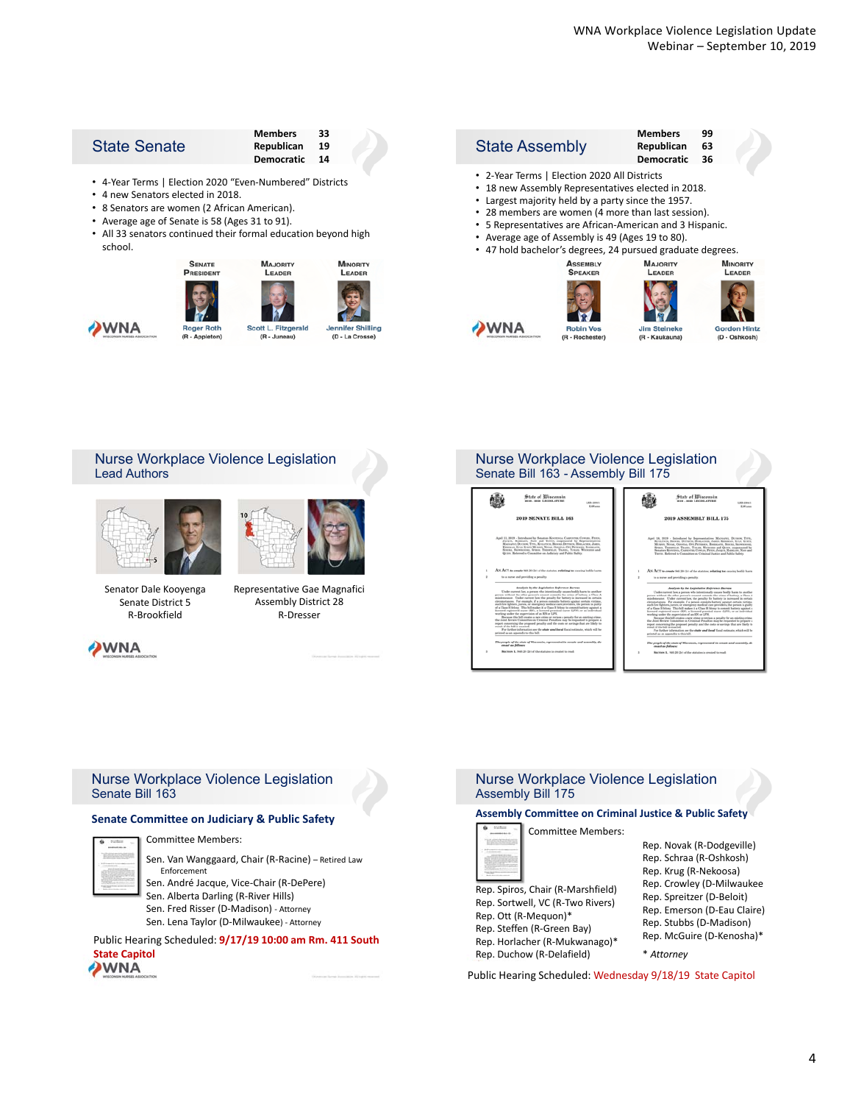**Gordon Hintz** 

(D - Oshkosh)

| Republican 19 |  |
|---------------|--|
| Democratic 14 |  |
|               |  |

• 4‐Year Terms | Election 2020 "Even‐Numbered" Districts

- 4 new Senators elected in 2018.
- 8 Senators are women (2 African American).
- Average age of Senate is 58 (Ages 31 to 91).
- All 33 senators continued their formal education beyond high school.



#### **Members 99** State Assembly **Republican 63 Democratic 36** • 2‐Year Terms | Election 2020 All Districts • 18 new Assembly Representatives elected in 2018. • Largest majority held by a party since the 1957. • 28 members are women (4 more than last session). • 5 Representatives are African‐American and 3 Hispanic. • Average age of Assembly is 49 (Ages 19 to 80). • 47 hold bachelor's degrees, 24 pursued graduate degrees. **ASSEMBLY**<br>SPEAKER **MAJORITY MINORITY** LEADER LEADER

Jim Steineko

(R - Kaukauna)







Representative Gae Magnafici

Assembly District 28 R‐Dresser



**DWNA** 



#### Nurse Workplace Violence Legislation Senate Bill 163 - Assembly Bill 175

 $(R - Roch$ 



#### Nurse Workplace Violence Legislation Senate Bill 163

#### **Senate Committee on Judiciary & Public Safety**



Committee Members:

Sen. Van Wanggaard, Chair (R‐Racine) – Retired Law Enforcement

Sen. André Jacque, Vice‐Chair (R‐DePere)

- Sen. Alberta Darling (R‐River Hills)
- Sen. Fred Risser (D‐Madison) ‐ Attorney

Sen. Lena Taylor (D‐Milwaukee) ‐ Attorney

Public Hearing Scheduled: **9/17/19 10:00 am Rm. 411 South State Capitol**



#### Nurse Workplace Violence Legislation Assembly Bill 175

#### **Assembly Committee on Criminal Justice & Public Safety**

Committee Members:



**WNA** 

Rep. Spiros, Chair (R‐Marshfield) Rep. Sortwell, VC (R‐Two Rivers) Rep. Ott (R‐Mequon)\* Rep. Steffen (R‐Green Bay) Rep. Horlacher (R‐Mukwanago)\* Rep. Duchow (R‐Delafield)

Public Hearing Scheduled: Wednesday 9/18/19 State Capitol

Rep. Crowley (D‐Milwaukee Rep. Spreitzer (D‐Beloit) Rep. Emerson (D‐Eau Claire) Rep. Stubbs (D‐Madison) Rep. McGuire (D‐Kenosha)\* \* *Attorney*

Rep. Novak (R‐Dodgeville) Rep. Schraa (R‐Oshkosh) Rep. Krug (R‐Nekoosa)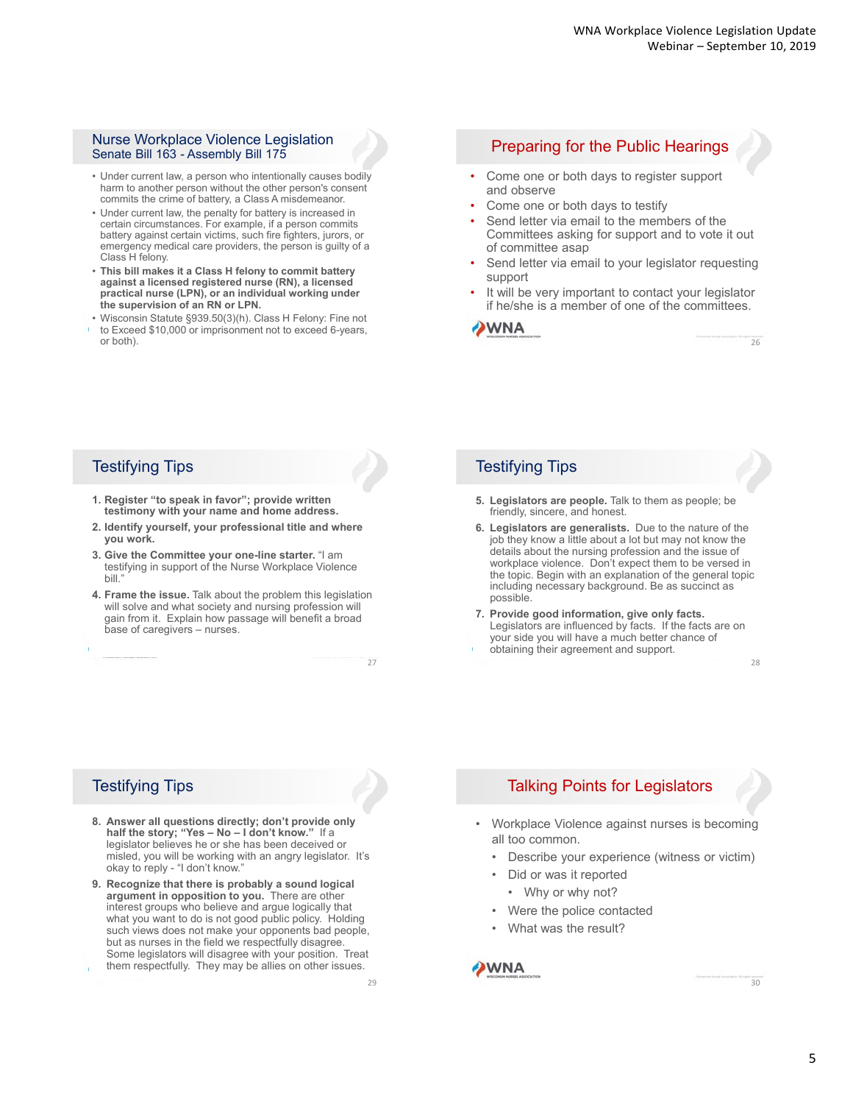26

#### Nurse Workplace Violence Legislation Nurse workplace violence Legislation<br>Senate Bill 163 - Assembly Bill 175

- Under current law, a person who intentionally causes bodily harm to another person without the other person's consent commits the crime of battery, a Class A misdemeanor.
- Under current law, the penalty for battery is increased in certain circumstances. For example, if a person commits battery against certain victims, such fire fighters, jurors, or emergency medical care providers, the person is guilty of a Class H felony.
- **This bill makes it a Class H felony to commit battery against a licensed registered nurse (RN), a licensed practical nurse (LPN), or an individual working under the supervision of an RN or LPN.**
- Wisconsin Statute §939.50(3)(h). Class H Felony: Fine not to Exceed \$10,000 or imprisonment not to exceed 6-years, or both).

- Come one or both days to register support and observe
- Come one or both days to testify
- Send letter via email to the members of the Committees asking for support and to vote it out of committee asap
- Send letter via email to your legislator requesting support
- It will be very important to contact your legislator if he/she is a member of one of the committees.



## Testifying Tips

- **1. Register "to speak in favor"; provide written testimony with your name and home address.**
- **2. Identify yourself, your professional title and where you work.**
- **3. Give the Committee your one-line starter.** "I am testifying in support of the Nurse Workplace Violence bill."
- **4. Frame the issue.** Talk about the problem this legislation will solve and what society and nursing profession will gain from it. Explain how passage will benefit a broad base of caregivers – nurses.

## Testifying Tips

- **5. Legislators are people.** Talk to them as people; be friendly, sincere, and honest.
- **6. Legislators are generalists.** Due to the nature of the job they know a little about a lot but may not know the details about the nursing profession and the issue of workplace violence. Don't expect them to be versed in the topic. Begin with an explanation of the general topic including necessary background. Be as succinct as possible.
- **7. Provide good information, give only facts.**  Legislators are influenced by facts. If the facts are on your side you will have a much better chance of obtaining their agreement and support. 28

# Testifying Tips

- **8. Answer all questions directly; don't provide only half the story; "Yes – No – I don't know."** If a legislator believes he or she has been deceived or misled, you will be working with an angry legislator. It's okay to reply - "I don't know.
- **9. Recognize that there is probably a sound logical argument in opposition to you.** There are other interest groups who believe and argue logically that what you want to do is not good public policy. Holding such views does not make your opponents bad people, but as nurses in the field we respectfully disagree. Some legislators will disagree with your position. Treat them respectfully. They may be allies on other issues.

29

27

# Talking Points for Legislators

- Workplace Violence against nurses is becoming all too common.
	- Describe your experience (witness or victim)
	- Did or was it reported
	- Why or why not?
	- Were the police contacted
	- What was the result?



30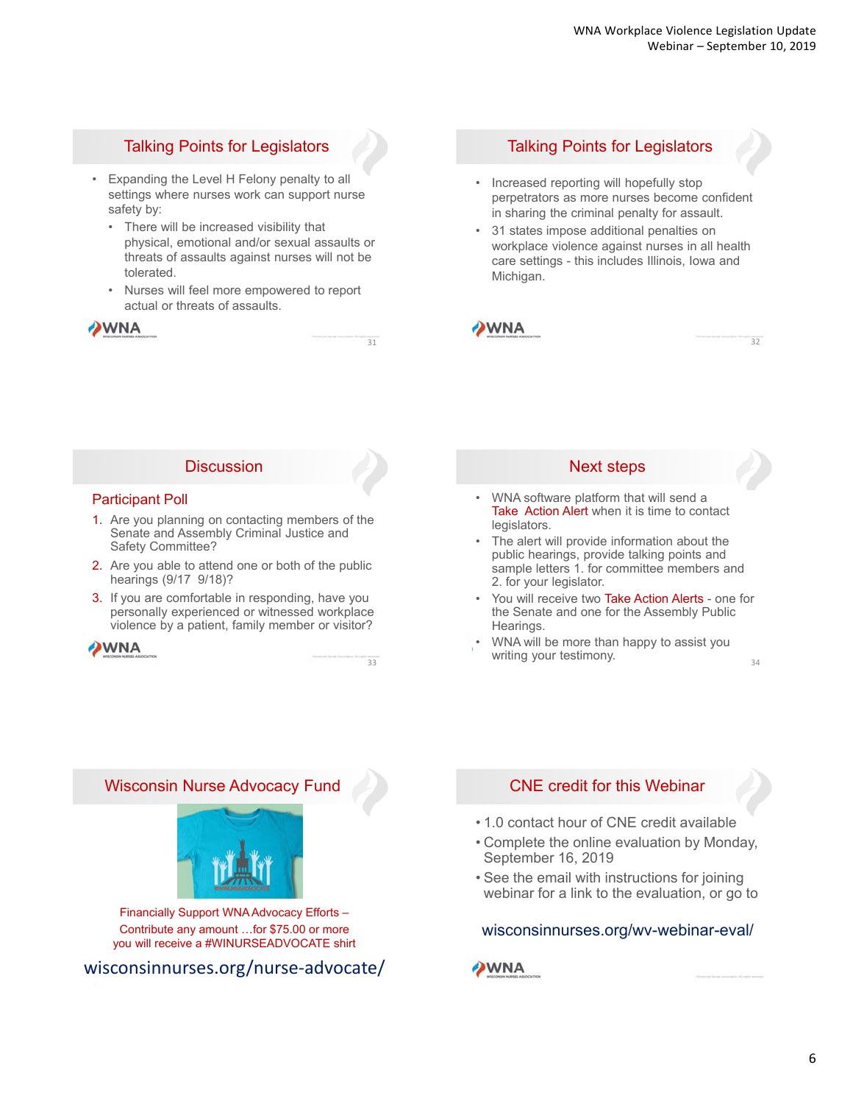# Talking Points for Legislators

- Expanding the Level H Felony penalty to all settings where nurses work can support nurse safety by:
	- There will be increased visibility that physical, emotional and/or sexual assaults or threats of assaults against nurses will not be tolerated.
	- Nurses will feel more empowered to report actual or threats of assaults.

## WNA

# Talking Points for Legislators

- Increased reporting will hopefully stop perpetrators as more nurses become confident in sharing the criminal penalty for assault.
- 31 states impose additional penalties on workplace violence against nurses in all health care settings - this includes Illinois, Iowa and Michigan.



32

## **Discussion**

#### Participant Poll

- 1. Are you planning on contacting members of the Senate and Assembly Criminal Justice and Safety Committee?
- 2. Are you able to attend one or both of the public hearings (9/17 9/18)?
- 3. If you are comfortable in responding, have you personally experienced or witnessed workplace violence by a patient, family member or visitor?

## **WNA**

33

31

#### Next steps

- WNA software platform that will send a Take Action Alert when it is time to contact legislators.
- The alert will provide information about the public hearings, provide talking points and sample letters 1. for committee members and 2. for your legislator.
- You will receive two Take Action Alerts one for the Senate and one for the Assembly Public Hearings.
- WNA will be more than happy to assist you writing your testimony.  $34$

Wisconsin Nurse Advocacy Fund



Financially Support WNA Advocacy Efforts – Contribute any amount …for \$75.00 or more you will receive a #WINURSEADVOCATE shirt

wisconsinnurses.org/nurse‐advocate/

## CNE credit for this Webinar

- 1.0 contact hour of CNE credit available
- Complete the online evaluation by Monday, September 16, 2019
- See the email with instructions for joining webinar for a link to the evaluation, or go to

## wisconsinnurses.org/wv-webinar-eval/

**WNA**